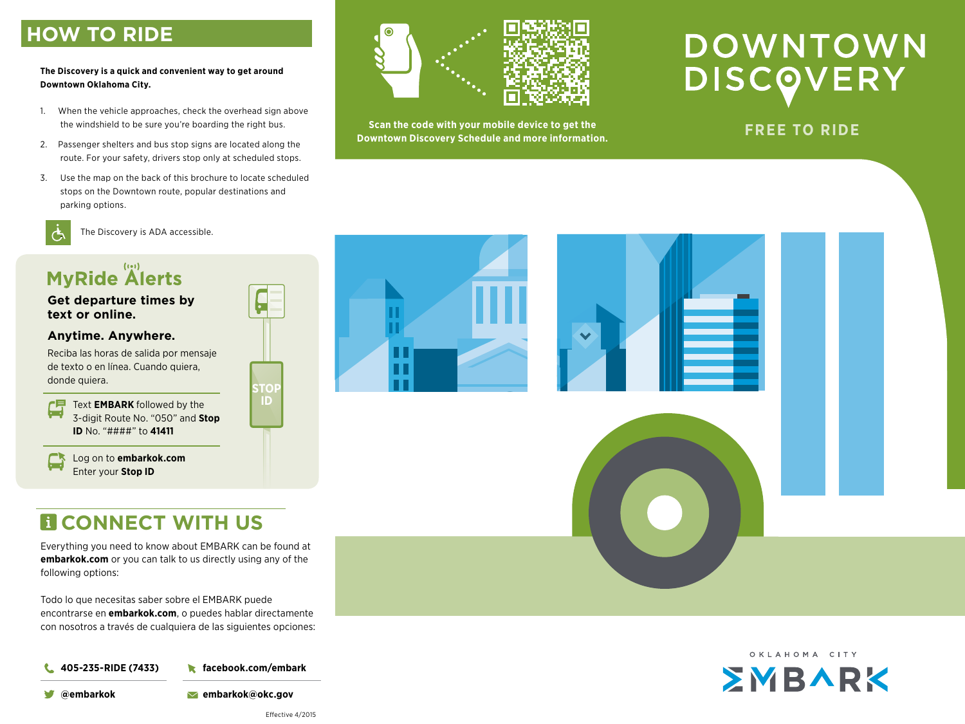## **HOW TO RIDE**

#### **The Discovery is a quick and convenient way to get around Downtown Oklahoma City.**

- 1. When the vehicle approaches, check the overhead sign above the windshield to be sure you're boarding the right bus.
- 2. Passenger shelters and bus stop signs are located along the route. For your safety, drivers stop only at scheduled stops.
- 3. Use the map on the back of this brochure to locate scheduled stops on the Downtown route, popular destinations and parking options.



The Discovery is ADA accessible.

# **MyRide Alerts**

**Get departure times by text or online.**

### **Anytime. Anywhere.**

Reciba las horas de salida por mensaje de texto o en línea. Cuando quiera, donde quiera.<br>**STO** 

CP. زصرا

Text **EMBARK** followed by the 3-digit Route No. "050" and **Stop ID** No. "####" to **41411**

Log on to **embarkok.com** Enter your **Stop ID**

# **EL CONNECT WITH US**

Everything you need to know about EMBARK can be found at **embarkok.com** or you can talk to us directly using any of the following options:

Todo lo que necesitas saber sobre el EMBARK puede encontrarse en **embarkok.com**, o puedes hablar directamente con nosotros a través de cualquiera de las siguientes opciones:

**facebook.com/embark 405-235-RIDE (7433)** L

**@embarkok embarkok@okc.gov**



**Scan the code with your mobile device to get the Downtown Discovery Schedule and more information.**<br>Downtown Discovery Schedule and more information. **FREE TO RIDE** 

# DOWNTOWN **DISCOVERY**





**ID**

Ь